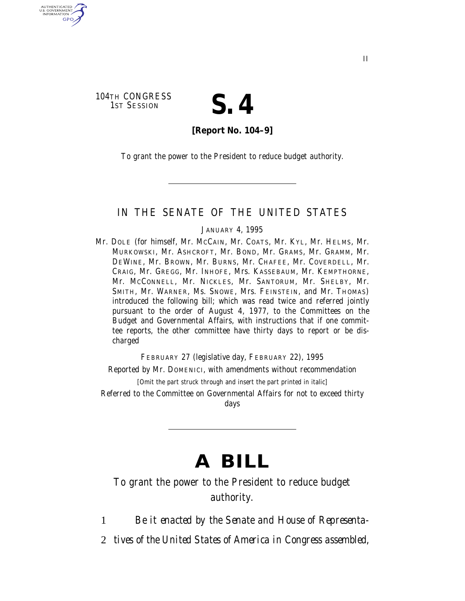104TH CONGRESS<br>1ST SESSION

AUTHENTICATED<br>U.S. GOVERNMENT<br>INFORMATION **GPO** 

# S. 4

**[Report No. 104–9]**

To grant the power to the President to reduce budget authority.

## IN THE SENATE OF THE UNITED STATES

#### JANUARY 4, 1995

Mr. DOLE (for himself, Mr. MCCAIN, Mr. COATS, Mr. KYL, Mr. HELMS, Mr. MURKOWSKI, Mr. ASHCROFT, Mr. BOND, Mr. GRAMS, Mr. GRAMM, Mr. DEWINE, Mr. BROWN, Mr. BURNS, Mr. CHAFEE, Mr. COVERDELL, Mr. CRAIG, Mr. GREGG, Mr. INHOFE, Mrs. KASSEBAUM, Mr. KEMPTHORNE, Mr. MCCONNELL, Mr. NICKLES, Mr. SANTORUM, Mr. SHELBY, Mr. SMITH, Mr. WARNER, Ms. SNOWE, Mrs. FEINSTEIN, and Mr. THOMAS) introduced the following bill; which was read twice and referred jointly pursuant to the order of August 4, 1977, to the Committees on the Budget and Governmental Affairs, with instructions that if one committee reports, the other committee have thirty days to report or be discharged

FEBRUARY 27 (legislative day, FEBRUARY 22), 1995

Reported by Mr. DOMENICI, with amendments without recommendation

[Omit the part struck through and insert the part printed in italic]

Referred to the Committee on Governmental Affairs for not to exceed thirty days

# **A BILL**

To grant the power to the President to reduce budget authority.

1 *Be it enacted by the Senate and House of Representa-*

2 *tives of the United States of America in Congress assembled,*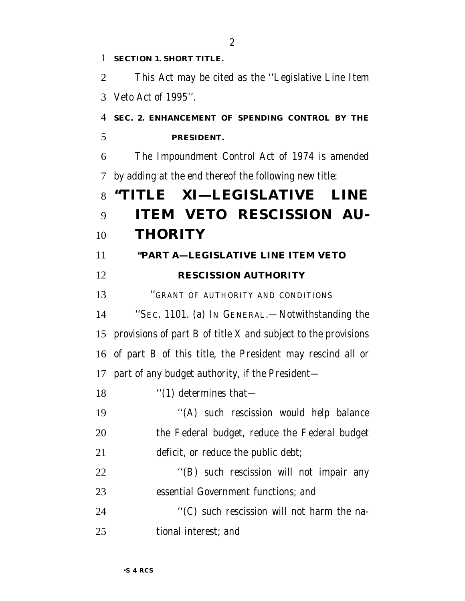| 1              | <b>SECTION 1. SHORT TITLE.</b>                                |
|----------------|---------------------------------------------------------------|
| $\overline{2}$ | This Act may be cited as the "Legislative Line Item"          |
| 3              | Veto Act of 1995".                                            |
| $\overline{4}$ | SEC. 2. ENHANCEMENT OF SPENDING CONTROL BY THE                |
| 5              | PRESIDENT.                                                    |
| 6              | The Impoundment Control Act of 1974 is amended                |
| 7              | by adding at the end thereof the following new title:         |
| 8              | "TITLE XI—LEGISLATIVE LINE                                    |
| 9              | <b>ITEM VETO RESCISSION AU-</b>                               |
| 10             | <b>THORITY</b>                                                |
| 11             | "PART A-LEGISLATIVE LINE ITEM VETO                            |
| 12             | <b>RESCISSION AUTHORITY</b>                                   |
| 13             | "GRANT OF AUTHORITY AND CONDITIONS                            |
| 14             | "SEC. 1101. (a) IN GENERAL.—Notwithstanding the               |
| 15             | provisions of part B of title X and subject to the provisions |
| 16             | of part B of this title, the President may rescind all or     |
|                | 17 part of any budget authority, if the President—            |
| 18             | $\cdot$ (1) determines that—                                  |
| 19             | "(A) such rescission would help balance                       |
| 20             | the Federal budget, reduce the Federal budget                 |
| 21             | deficit, or reduce the public debt;                           |
| 22             | "(B) such rescission will not impair any                      |
| 23             | essential Government functions; and                           |
| 24             | "(C) such rescission will not harm the na-                    |
| 25             | tional interest; and                                          |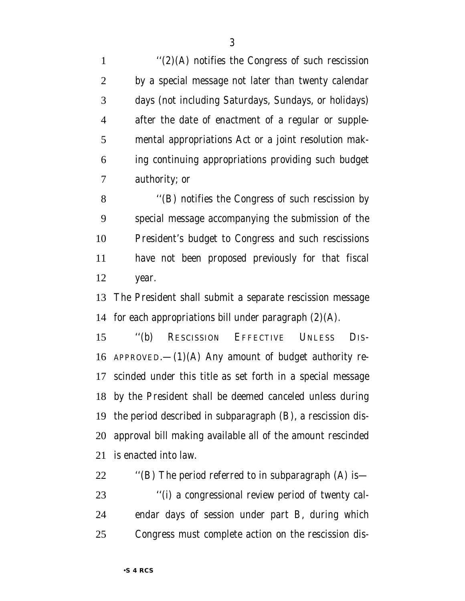$''(2)(A)$  notifies the Congress of such rescission by a special message not later than twenty calendar days (not including Saturdays, Sundays, or holidays) after the date of enactment of a regular or supple- mental appropriations Act or a joint resolution mak- ing continuing appropriations providing such budget authority; or

8 "(B) notifies the Congress of such rescission by special message accompanying the submission of the President's budget to Congress and such rescissions have not been proposed previously for that fiscal year.

 The President shall submit a separate rescission message 14 for each appropriations bill under paragraph  $(2)(A)$ .

 ''(b) RESCISSION EFFECTIVE UNLESS DIS-16 APPROVED.— $(1)(A)$  Any amount of budget authority re- scinded under this title as set forth in a special message by the President shall be deemed canceled unless during the period described in subparagraph (B), a rescission dis- approval bill making available all of the amount rescinded is enacted into law.

 $\bullet$  "(B) The period referred to in subparagraph (A) is — ''(i) a congressional review period of twenty cal- endar days of session under part B, during which Congress must complete action on the rescission dis-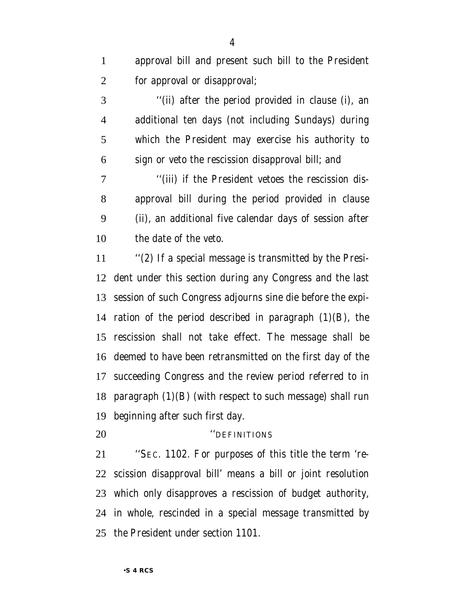approval bill and present such bill to the President for approval or disapproval;

 ''(ii) after the period provided in clause (i), an additional ten days (not including Sundays) during which the President may exercise his authority to sign or veto the rescission disapproval bill; and

 ''(iii) if the President vetoes the rescission dis- approval bill during the period provided in clause (ii), an additional five calendar days of session after the date of the veto.

 ''(2) If a special message is transmitted by the Presi- dent under this section during any Congress and the last session of such Congress adjourns sine die before the expi-14 ration of the period described in paragraph  $(1)(B)$ , the rescission shall not take effect. The message shall be deemed to have been retransmitted on the first day of the succeeding Congress and the review period referred to in paragraph (1)(B) (with respect to such message) shall run beginning after such first day.

### ''DEFINITIONS

 ''SEC. 1102. For purposes of this title the term 're- scission disapproval bill' means a bill or joint resolution which only disapproves a rescission of budget authority, in whole, rescinded in a special message transmitted by the President under section 1101.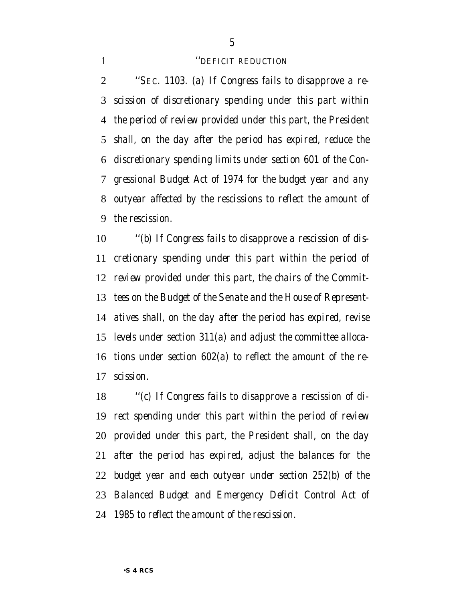### *''DEFICIT REDUCTION*

 *''SEC. 1103. (a) If Congress fails to disapprove a re- scission of discretionary spending under this part within the period of review provided under this part, the President shall, on the day after the period has expired, reduce the discretionary spending limits under section 601 of the Con- gressional Budget Act of 1974 for the budget year and any outyear affected by the rescissions to reflect the amount of the rescission.*

 *''(b) If Congress fails to disapprove a rescission of dis- cretionary spending under this part within the period of review provided under this part, the chairs of the Commit- tees on the Budget of the Senate and the House of Represent- atives shall, on the day after the period has expired, revise levels under section 311(a) and adjust the committee alloca- tions under section 602(a) to reflect the amount of the re-scission.*

 *''(c) If Congress fails to disapprove a rescission of di- rect spending under this part within the period of review provided under this part, the President shall, on the day after the period has expired, adjust the balances for the budget year and each outyear under section 252(b) of the Balanced Budget and Emergency Deficit Control Act of 1985 to reflect the amount of the rescission.*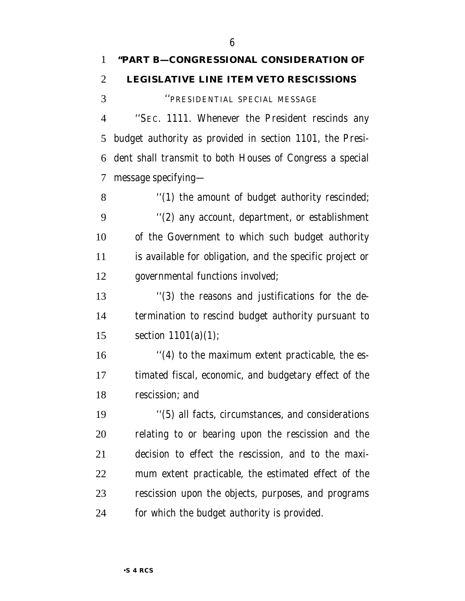''PRESIDENTIAL SPECIAL MESSAGE

 ''SEC. 1111. Whenever the President rescinds any budget authority as provided in section 1101, the Presi- dent shall transmit to both Houses of Congress a special message specifying—

8 "(1) the amount of budget authority rescinded; ''(2) any account, department, or establishment of the Government to which such budget authority is available for obligation, and the specific project or governmental functions involved;

 ''(3) the reasons and justifications for the de- termination to rescind budget authority pursuant to section 1101(a)(1);

 ''(4) to the maximum extent practicable, the es- timated fiscal, economic, and budgetary effect of the rescission; and

 ''(5) all facts, circumstances, and considerations relating to or bearing upon the rescission and the decision to effect the rescission, and to the maxi- mum extent practicable, the estimated effect of the rescission upon the objects, purposes, and programs for which the budget authority is provided.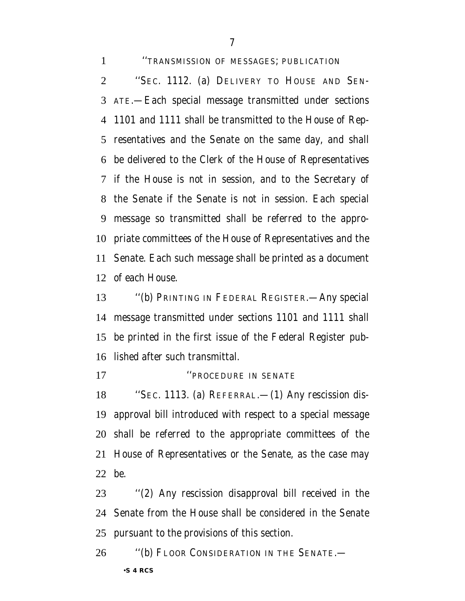''TRANSMISSION OF MESSAGES; PUBLICATION ''SEC. 1112. (a) DELIVERY TO HOUSE AND SEN- ATE.—Each special message transmitted under sections 1101 and 1111 shall be transmitted to the House of Rep- resentatives and the Senate on the same day, and shall be delivered to the Clerk of the House of Representatives if the House is not in session, and to the Secretary of the Senate if the Senate is not in session. Each special message so transmitted shall be referred to the appro- priate committees of the House of Representatives and the Senate. Each such message shall be printed as a document of each House.

 ''(b) PRINTING IN FEDERAL REGISTER.—Any special message transmitted under sections 1101 and 1111 shall be printed in the first issue of the Federal Register pub-lished after such transmittal.

### *''PROCEDURE IN SENATE*

 ''SEC. 1113. (a) REFERRAL.—(1) Any rescission dis- approval bill introduced with respect to a special message shall be referred to the appropriate committees of the House of Representatives or the Senate, as the case may be.

 ''(2) Any rescission disapproval bill received in the Senate from the House shall be considered in the Senate pursuant to the provisions of this section.

•**S 4 RCS** ''(b) FLOOR CONSIDERATION IN THE SENATE.—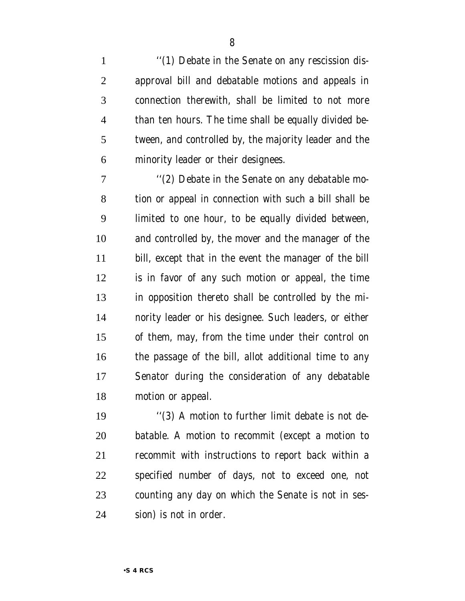1 "(1) Debate in the Senate on any rescission dis- approval bill and debatable motions and appeals in connection therewith, shall be limited to not more than ten hours. The time shall be equally divided be- tween, and controlled by, the majority leader and the minority leader or their designees.

7 "(2) Debate in the Senate on any debatable mo- tion or appeal in connection with such a bill shall be limited to one hour, to be equally divided between, and controlled by, the mover and the manager of the bill, except that in the event the manager of the bill is in favor of any such motion or appeal, the time in opposition thereto shall be controlled by the mi- nority leader or his designee. Such leaders, or either of them, may, from the time under their control on the passage of the bill, allot additional time to any Senator during the consideration of any debatable motion or appeal.

 ''(3) A motion to further limit debate is not de- batable. A motion to recommit (except a motion to recommit with instructions to report back within a specified number of days, not to exceed one, not counting any day on which the Senate is not in ses-sion) is not in order.